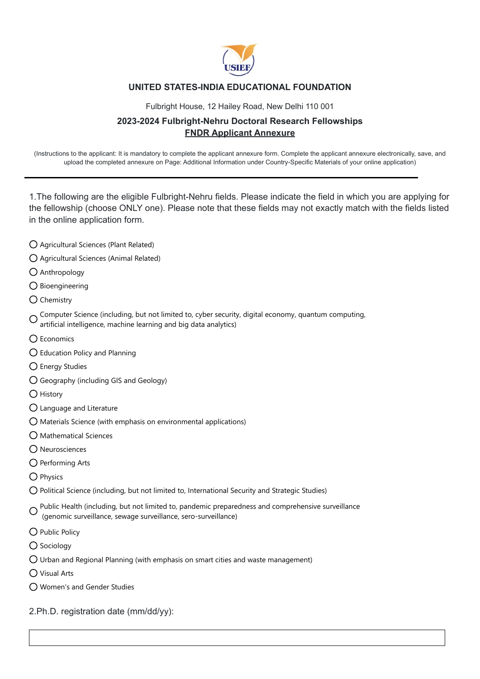

## **UNITED STATES-INDIA EDUCATIONAL FOUNDATION**

Fulbright House, 12 Hailey Road, New Delhi 110 001

## **2023-2024 Fulbright-Nehru Doctoral Research Fellowships FNDR Applicant Annexure**

(Instructions to the applicant: It is mandatory to complete the applicant annexure form. Complete the applicant annexure electronically, save, and upload the completed annexure on Page: Additional Information under Country-Specific Materials of your online application)

1.The following are the eligible Fulbright-Nehru fields. Please indicate the field in which you are applying for the fellowship (choose ONLY one). Please note that these fields may not exactly match with the fields listed in the online application form.

- Agricultural Sciences (Plant Related)
- Agricultural Sciences (Animal Related)
- Anthropology
- $O$  Bioengineering
- $\bigcap$  Chemistry

Computer Science (including, but not limited to, cyber security, digital economy, quantum computing, artificial intelligence, machine learning and big data analytics)

- O Economics
- Education Policy and Planning
- Energy Studies
- Geography (including GIS and Geology)
- $\bigcap$  History
- Language and Literature
- Materials Science (with emphasis on environmental applications)
- Mathematical Sciences
- Neurosciences
- Performing Arts
- O Physics
- Political Science (including, but not limited to, International Security and Strategic Studies)
- O Public Health (including, but not limited to, pandemic preparedness and comprehensive surveillance (genomic surveillance, sewage surveillance, sero-surveillance)
- O Public Policy
- O Sociology
- $\bigcirc$  Urban and Regional Planning (with emphasis on smart cities and waste management)
- Visual Arts
- Women's and Gender Studies
- 2.Ph.D. registration date (mm/dd/yy):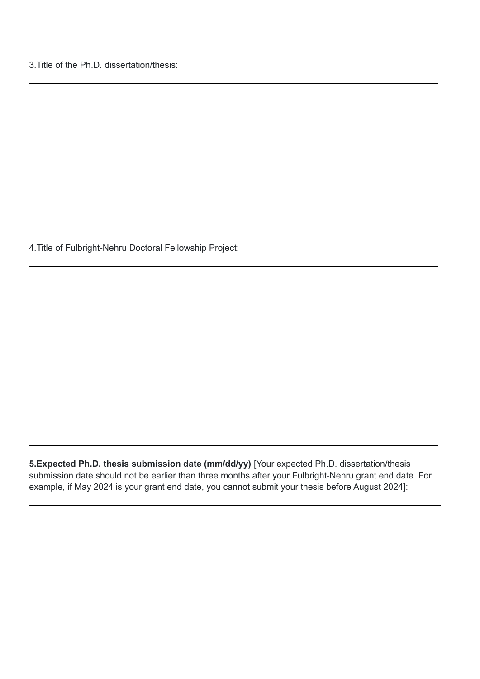3.Title of the Ph.D. dissertation/thesis:

4.Title of Fulbright-Nehru Doctoral Fellowship Project:

**5.Expected Ph.D. thesis submission date (mm/dd/yy)** [Your expected Ph.D. dissertation/thesis submission date should not be earlier than three months after your Fulbright-Nehru grant end date. For example, if May 2024 is your grant end date, you cannot submit your thesis before August 2024]: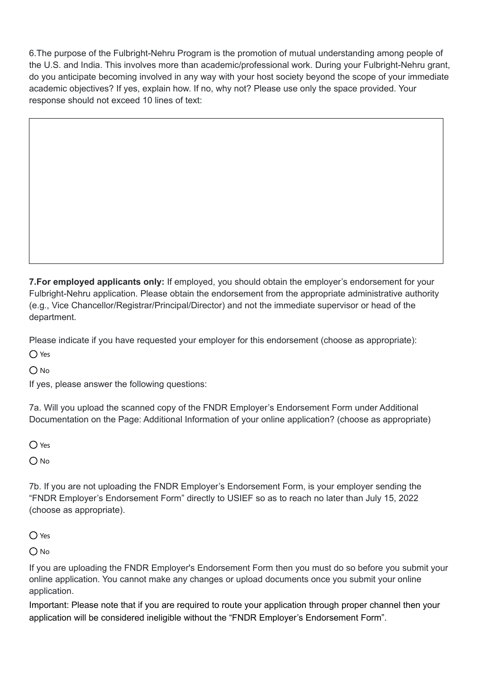6.The purpose of the Fulbright-Nehru Program is the promotion of mutual understanding among people of the U.S. and India. This involves more than academic/professional work. During your Fulbright-Nehru grant, do you anticipate becoming involved in any way with your host society beyond the scope of your immediate academic objectives? If yes, explain how. If no, why not? Please use only the space provided. Your response should not exceed 10 lines of text:

**7.For employed applicants only:** If employed, you should obtain the employer's endorsement for your Fulbright-Nehru application. Please obtain the endorsement from the appropriate administrative authority (e.g., Vice Chancellor/Registrar/Principal/Director) and not the immediate supervisor or head of the department.

Please indicate if you have requested your employer for this endorsement (choose as appropriate):

O Yes

 $O$  No

If yes, please answer the following questions:

7a. Will you upload the scanned copy of the FNDR Employer's Endorsement Form under Additional Documentation on the Page: Additional Information of your online application? (choose as appropriate)

 $\bigcap$  Yes

 $O$  No

7b. If you are not uploading the FNDR Employer's Endorsement Form, is your employer sending the "FNDR Employer's Endorsement Form" directly to USIEF so as to reach no later than July 15, 2022 (choose as appropriate).

 $\bigcap$  Yes

 $O$  No

If you are uploading the FNDR Employer's Endorsement Form then you must do so before you submit your online application. You cannot make any changes or upload documents once you submit your online application.

Important: Please note that if you are required to route your application through proper channel then your application will be considered ineligible without the "FNDR Employer's Endorsement Form".